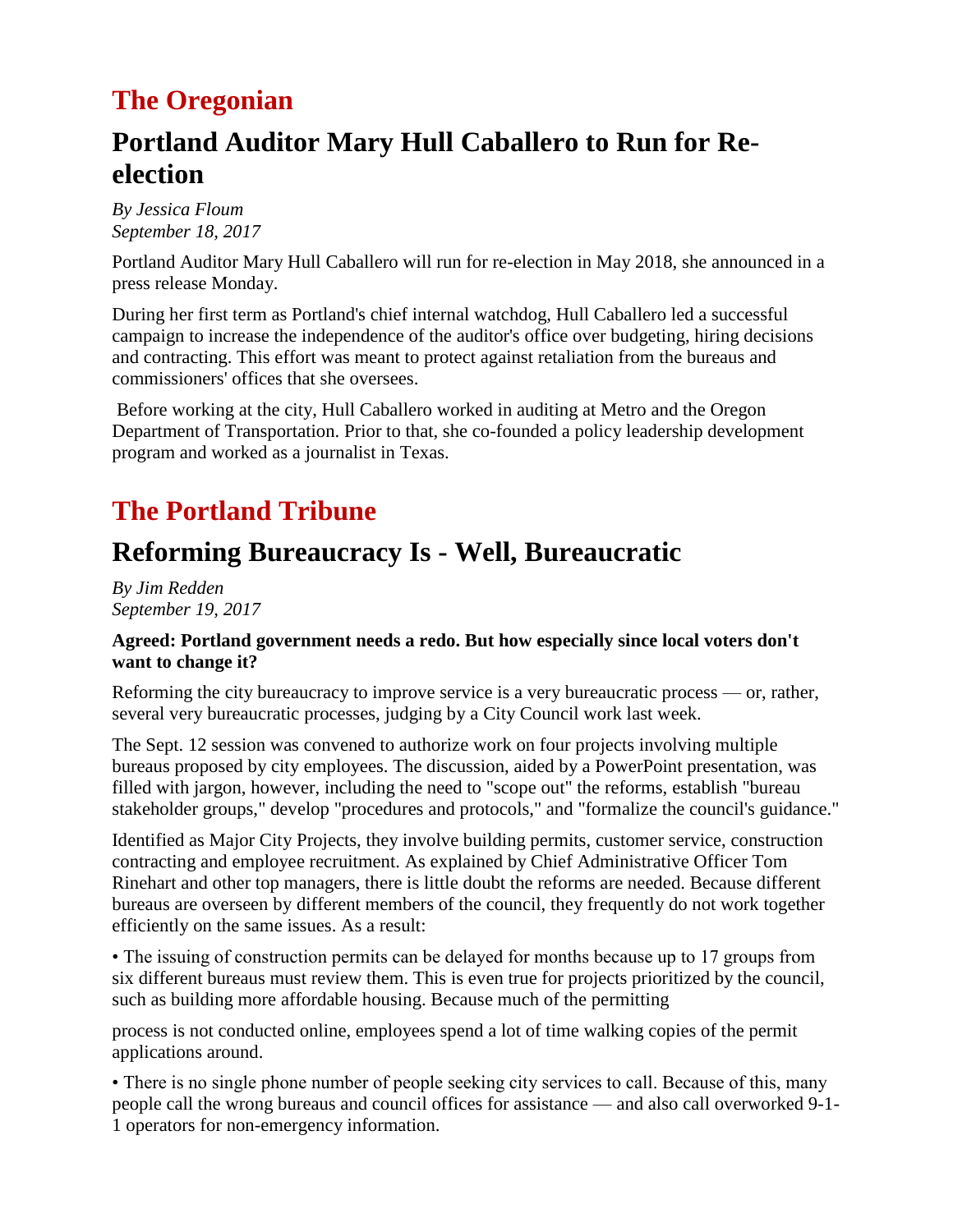## **The Oregonian**

## **Portland Auditor Mary Hull Caballero to Run for Reelection**

*By Jessica Floum September 18, 2017*

Portland Auditor Mary Hull Caballero will run for re-election in May 2018, she announced in a press release Monday.

During her first term as Portland's chief internal watchdog, Hull Caballero led a successful campaign to increase the independence of the auditor's office over budgeting, hiring decisions and contracting. This effort was meant to protect against retaliation from the bureaus and commissioners' offices that she oversees.

Before working at the city, Hull Caballero worked in auditing at Metro and the Oregon Department of Transportation. Prior to that, she co-founded a policy leadership development program and worked as a journalist in Texas.

# **The Portland Tribune**

## **Reforming Bureaucracy Is - Well, Bureaucratic**

*By Jim Redden September 19, 2017* 

#### **Agreed: Portland government needs a redo. But how especially since local voters don't want to change it?**

Reforming the city bureaucracy to improve service is a very bureaucratic process — or, rather, several very bureaucratic processes, judging by a City Council work last week.

The Sept. 12 session was convened to authorize work on four projects involving multiple bureaus proposed by city employees. The discussion, aided by a PowerPoint presentation, was filled with jargon, however, including the need to "scope out" the reforms, establish "bureau stakeholder groups," develop "procedures and protocols," and "formalize the council's guidance."

Identified as Major City Projects, they involve building permits, customer service, construction contracting and employee recruitment. As explained by Chief Administrative Officer Tom Rinehart and other top managers, there is little doubt the reforms are needed. Because different bureaus are overseen by different members of the council, they frequently do not work together efficiently on the same issues. As a result:

• The issuing of construction permits can be delayed for months because up to 17 groups from six different bureaus must review them. This is even true for projects prioritized by the council, such as building more affordable housing. Because much of the permitting

process is not conducted online, employees spend a lot of time walking copies of the permit applications around.

• There is no single phone number of people seeking city services to call. Because of this, many people call the wrong bureaus and council offices for assistance — and also call overworked 9-1- 1 operators for non-emergency information.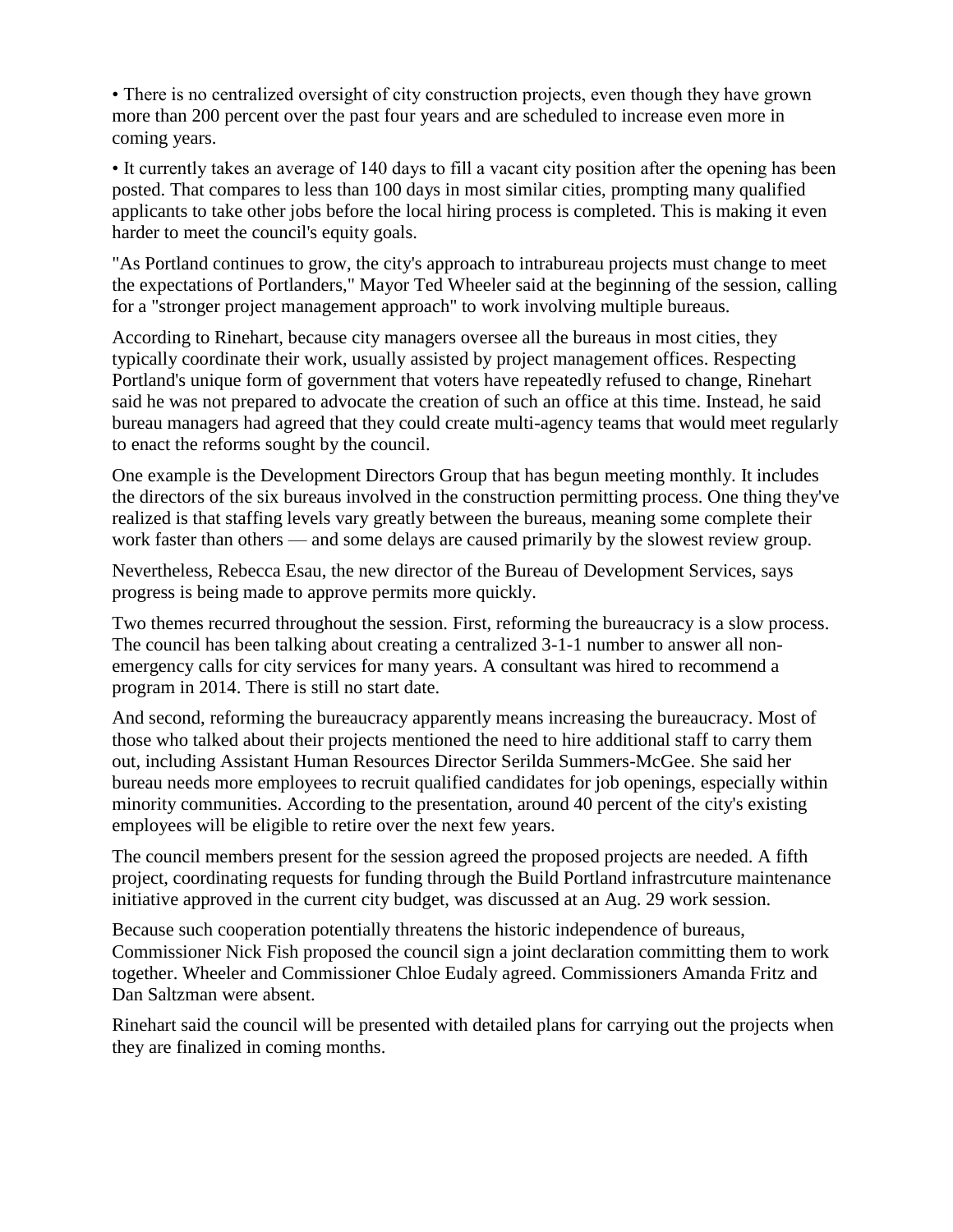• There is no centralized oversight of city construction projects, even though they have grown more than 200 percent over the past four years and are scheduled to increase even more in coming years.

• It currently takes an average of 140 days to fill a vacant city position after the opening has been posted. That compares to less than 100 days in most similar cities, prompting many qualified applicants to take other jobs before the local hiring process is completed. This is making it even harder to meet the council's equity goals.

"As Portland continues to grow, the city's approach to intrabureau projects must change to meet the expectations of Portlanders," Mayor Ted Wheeler said at the beginning of the session, calling for a "stronger project management approach" to work involving multiple bureaus.

According to Rinehart, because city managers oversee all the bureaus in most cities, they typically coordinate their work, usually assisted by project management offices. Respecting Portland's unique form of government that voters have repeatedly refused to change, Rinehart said he was not prepared to advocate the creation of such an office at this time. Instead, he said bureau managers had agreed that they could create multi-agency teams that would meet regularly to enact the reforms sought by the council.

One example is the Development Directors Group that has begun meeting monthly. It includes the directors of the six bureaus involved in the construction permitting process. One thing they've realized is that staffing levels vary greatly between the bureaus, meaning some complete their work faster than others — and some delays are caused primarily by the slowest review group.

Nevertheless, Rebecca Esau, the new director of the Bureau of Development Services, says progress is being made to approve permits more quickly.

Two themes recurred throughout the session. First, reforming the bureaucracy is a slow process. The council has been talking about creating a centralized 3-1-1 number to answer all nonemergency calls for city services for many years. A consultant was hired to recommend a program in 2014. There is still no start date.

And second, reforming the bureaucracy apparently means increasing the bureaucracy. Most of those who talked about their projects mentioned the need to hire additional staff to carry them out, including Assistant Human Resources Director Serilda Summers-McGee. She said her bureau needs more employees to recruit qualified candidates for job openings, especially within minority communities. According to the presentation, around 40 percent of the city's existing employees will be eligible to retire over the next few years.

The council members present for the session agreed the proposed projects are needed. A fifth project, coordinating requests for funding through the Build Portland infrastrcuture maintenance initiative approved in the current city budget, was discussed at an Aug. 29 work session.

Because such cooperation potentially threatens the historic independence of bureaus, Commissioner Nick Fish proposed the council sign a joint declaration committing them to work together. Wheeler and Commissioner Chloe Eudaly agreed. Commissioners Amanda Fritz and Dan Saltzman were absent.

Rinehart said the council will be presented with detailed plans for carrying out the projects when they are finalized in coming months.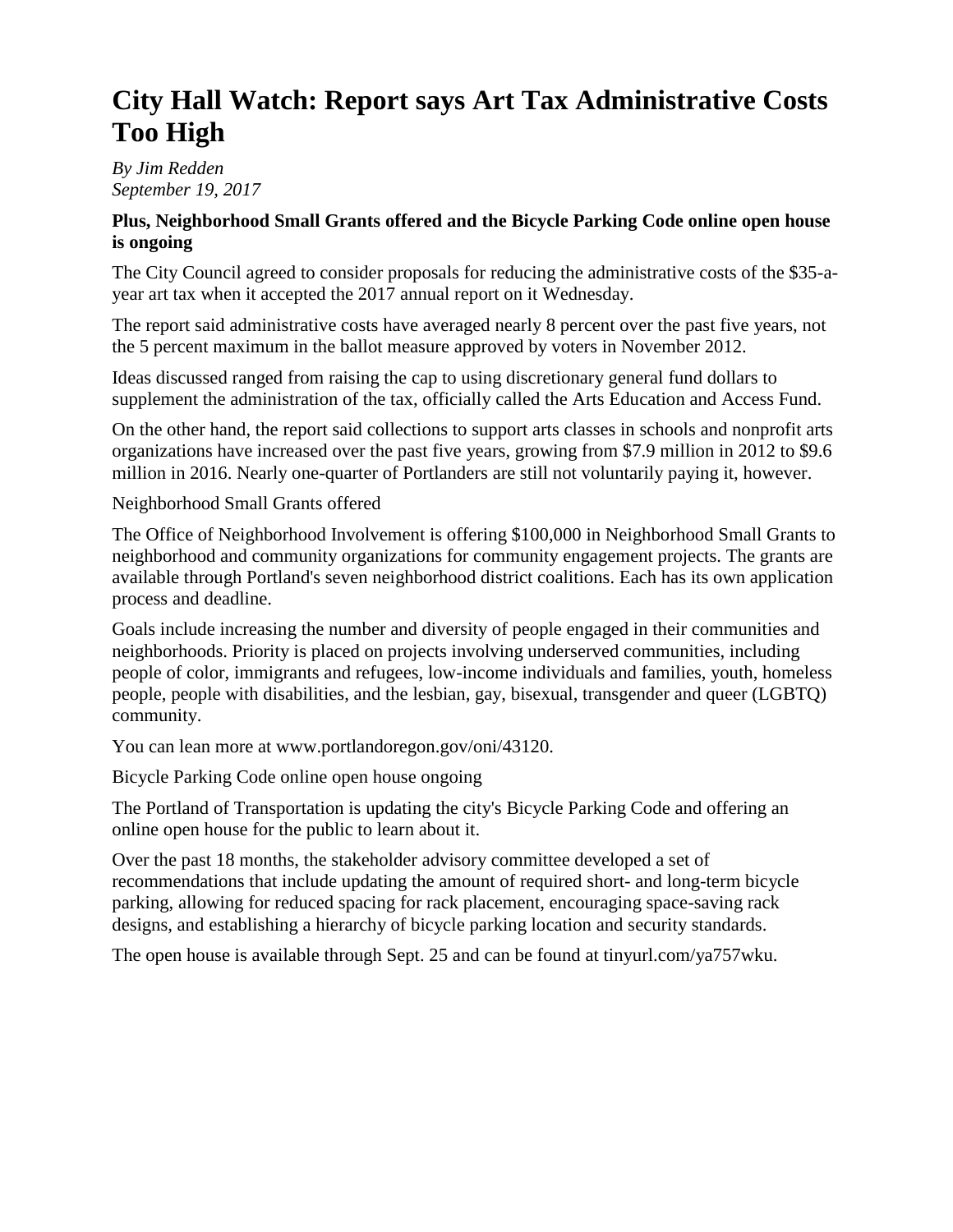## **City Hall Watch: Report says Art Tax Administrative Costs Too High**

*By Jim Redden September 19, 2017* 

#### **Plus, Neighborhood Small Grants offered and the Bicycle Parking Code online open house is ongoing**

The City Council agreed to consider proposals for reducing the administrative costs of the \$35-ayear art tax when it accepted the 2017 annual report on it Wednesday.

The report said administrative costs have averaged nearly 8 percent over the past five years, not the 5 percent maximum in the ballot measure approved by voters in November 2012.

Ideas discussed ranged from raising the cap to using discretionary general fund dollars to supplement the administration of the tax, officially called the Arts Education and Access Fund.

On the other hand, the report said collections to support arts classes in schools and nonprofit arts organizations have increased over the past five years, growing from \$7.9 million in 2012 to \$9.6 million in 2016. Nearly one-quarter of Portlanders are still not voluntarily paying it, however.

#### Neighborhood Small Grants offered

The Office of Neighborhood Involvement is offering \$100,000 in Neighborhood Small Grants to neighborhood and community organizations for community engagement projects. The grants are available through Portland's seven neighborhood district coalitions. Each has its own application process and deadline.

Goals include increasing the number and diversity of people engaged in their communities and neighborhoods. Priority is placed on projects involving underserved communities, including people of color, immigrants and refugees, low-income individuals and families, youth, homeless people, people with disabilities, and the lesbian, gay, bisexual, transgender and queer (LGBTQ) community.

You can lean more at www.portlandoregon.gov/oni/43120.

Bicycle Parking Code online open house ongoing

The Portland of Transportation is updating the city's Bicycle Parking Code and offering an online open house for the public to learn about it.

Over the past 18 months, the stakeholder advisory committee developed a set of recommendations that include updating the amount of required short- and long-term bicycle parking, allowing for reduced spacing for rack placement, encouraging space-saving rack designs, and establishing a hierarchy of bicycle parking location and security standards.

The open house is available through Sept. 25 and can be found at tinyurl.com/ya757wku.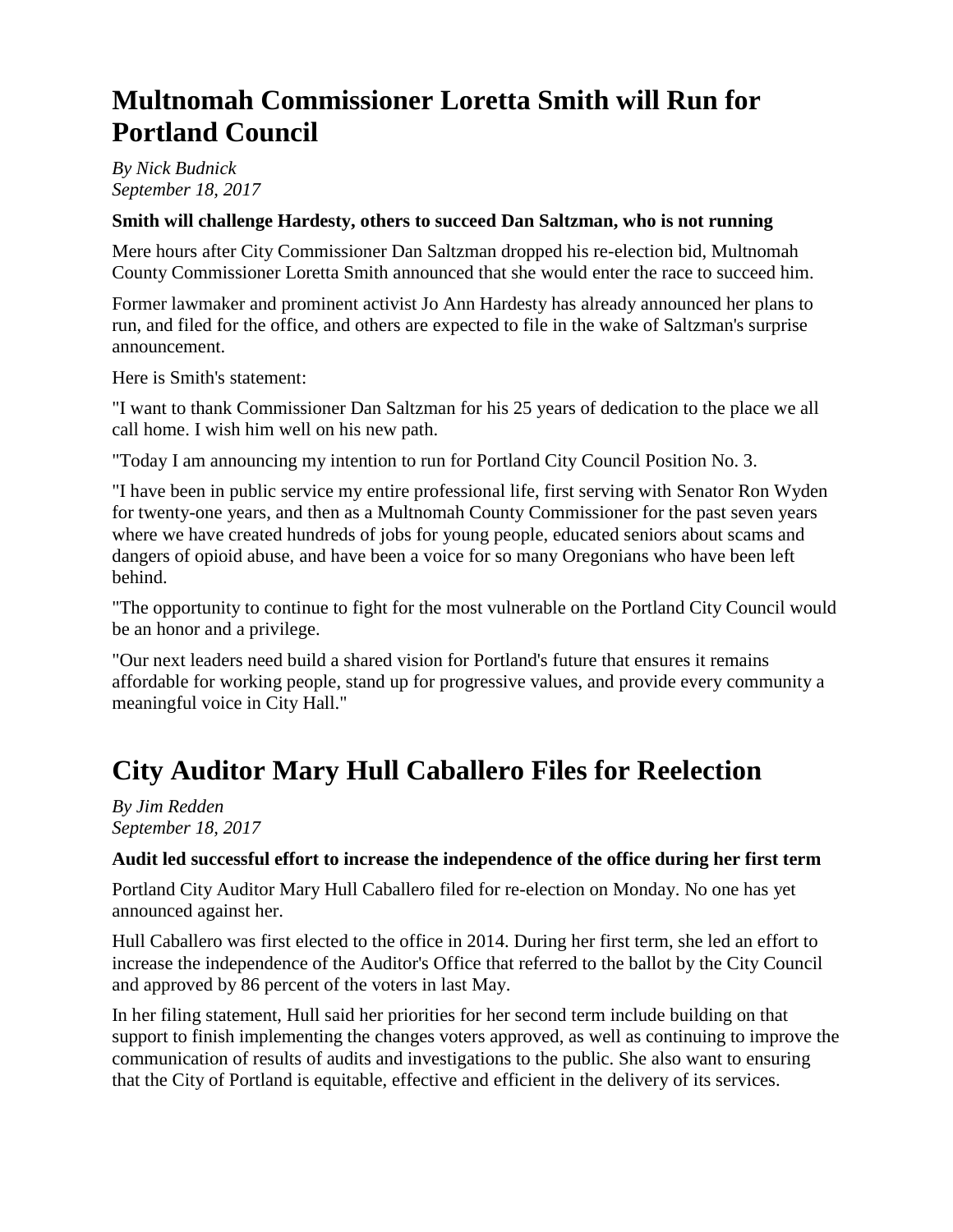## **Multnomah Commissioner Loretta Smith will Run for Portland Council**

*By Nick Budnick September 18, 2017* 

#### **Smith will challenge Hardesty, others to succeed Dan Saltzman, who is not running**

Mere hours after City Commissioner Dan Saltzman dropped his re-election bid, Multnomah County Commissioner Loretta Smith announced that she would enter the race to succeed him.

Former lawmaker and prominent activist Jo Ann Hardesty has already announced her plans to run, and filed for the office, and others are expected to file in the wake of Saltzman's surprise announcement.

Here is Smith's statement:

"I want to thank Commissioner Dan Saltzman for his 25 years of dedication to the place we all call home. I wish him well on his new path.

"Today I am announcing my intention to run for Portland City Council Position No. 3.

"I have been in public service my entire professional life, first serving with Senator Ron Wyden for twenty-one years, and then as a Multnomah County Commissioner for the past seven years where we have created hundreds of jobs for young people, educated seniors about scams and dangers of opioid abuse, and have been a voice for so many Oregonians who have been left behind.

"The opportunity to continue to fight for the most vulnerable on the Portland City Council would be an honor and a privilege.

"Our next leaders need build a shared vision for Portland's future that ensures it remains affordable for working people, stand up for progressive values, and provide every community a meaningful voice in City Hall."

# **City Auditor Mary Hull Caballero Files for Reelection**

*By Jim Redden September 18, 2017* 

#### **Audit led successful effort to increase the independence of the office during her first term**

Portland City Auditor Mary Hull Caballero filed for re-election on Monday. No one has yet announced against her.

Hull Caballero was first elected to the office in 2014. During her first term, she led an effort to increase the independence of the Auditor's Office that referred to the ballot by the City Council and approved by 86 percent of the voters in last May.

In her filing statement, Hull said her priorities for her second term include building on that support to finish implementing the changes voters approved, as well as continuing to improve the communication of results of audits and investigations to the public. She also want to ensuring that the City of Portland is equitable, effective and efficient in the delivery of its services.